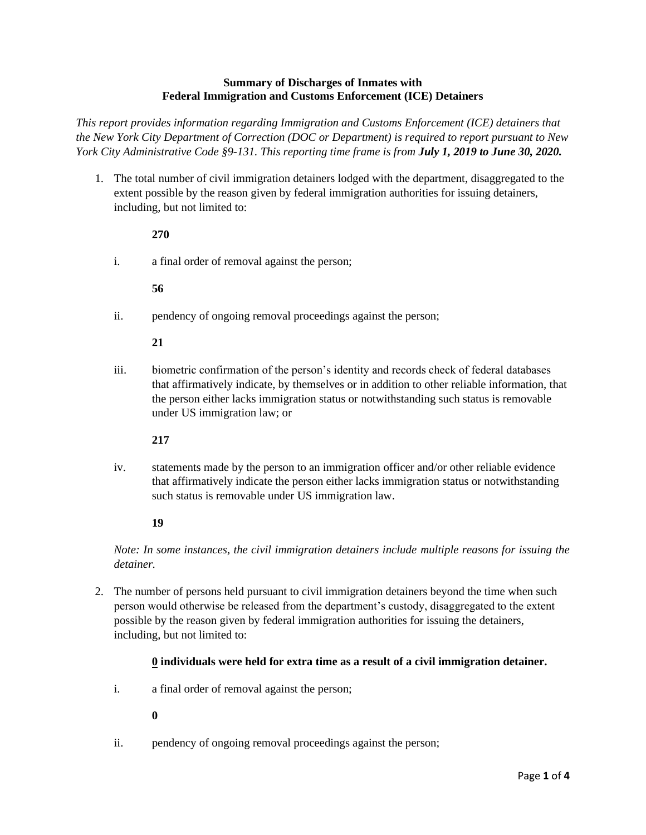### **Summary of Discharges of Inmates with Federal Immigration and Customs Enforcement (ICE) Detainers**

*This report provides information regarding Immigration and Customs Enforcement (ICE) detainers that the New York City Department of Correction (DOC or Department) is required to report pursuant to New York City Administrative Code §9-131. This reporting time frame is from July 1, 2019 to June 30, 2020.*

1. The total number of civil immigration detainers lodged with the department, disaggregated to the extent possible by the reason given by federal immigration authorities for issuing detainers, including, but not limited to:

### **270**

i. a final order of removal against the person;

### **56**

ii. pendency of ongoing removal proceedings against the person;

### **21**

iii. biometric confirmation of the person's identity and records check of federal databases that affirmatively indicate, by themselves or in addition to other reliable information, that the person either lacks immigration status or notwithstanding such status is removable under US immigration law; or

### **217**

iv. statements made by the person to an immigration officer and/or other reliable evidence that affirmatively indicate the person either lacks immigration status or notwithstanding such status is removable under US immigration law.

# **19**

*Note: In some instances, the civil immigration detainers include multiple reasons for issuing the detainer.*

2. The number of persons held pursuant to civil immigration detainers beyond the time when such person would otherwise be released from the department's custody, disaggregated to the extent possible by the reason given by federal immigration authorities for issuing the detainers, including, but not limited to:

### **0 individuals were held for extra time as a result of a civil immigration detainer.**

i. a final order of removal against the person;

### **0**

ii. pendency of ongoing removal proceedings against the person;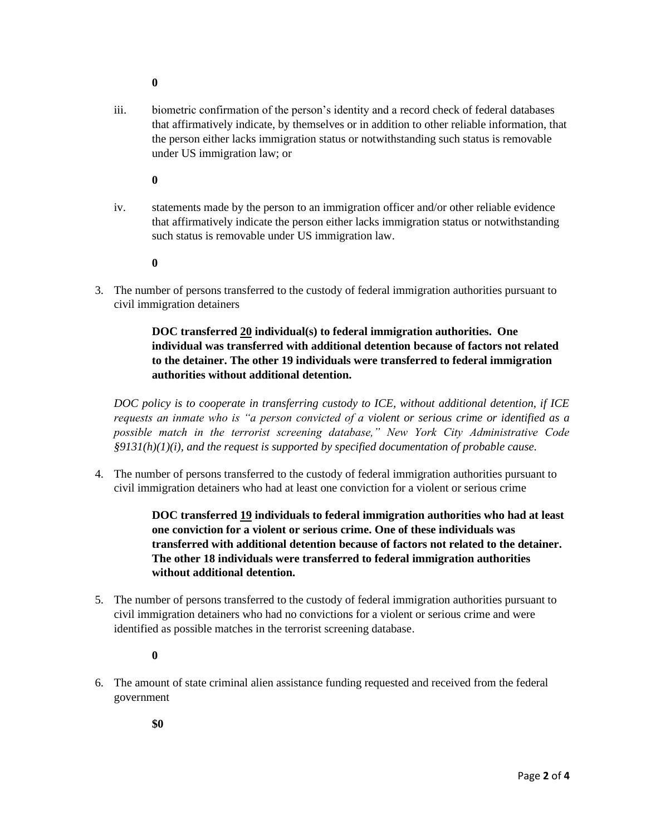- **0**
- iii. biometric confirmation of the person's identity and a record check of federal databases that affirmatively indicate, by themselves or in addition to other reliable information, that the person either lacks immigration status or notwithstanding such status is removable under US immigration law; or
	- **0**
- iv. statements made by the person to an immigration officer and/or other reliable evidence that affirmatively indicate the person either lacks immigration status or notwithstanding such status is removable under US immigration law.
	- **0**
- 3. The number of persons transferred to the custody of federal immigration authorities pursuant to civil immigration detainers

**DOC transferred 20 individual(s) to federal immigration authorities. One individual was transferred with additional detention because of factors not related to the detainer. The other 19 individuals were transferred to federal immigration authorities without additional detention.** 

*DOC policy is to cooperate in transferring custody to ICE, without additional detention, if ICE requests an inmate who is "a person convicted of a violent or serious crime or identified as a possible match in the terrorist screening database," New York City Administrative Code §9131(h)(1)(i), and the request is supported by specified documentation of probable cause.*

4. The number of persons transferred to the custody of federal immigration authorities pursuant to civil immigration detainers who had at least one conviction for a violent or serious crime

> **DOC transferred 19 individuals to federal immigration authorities who had at least one conviction for a violent or serious crime. One of these individuals was transferred with additional detention because of factors not related to the detainer. The other 18 individuals were transferred to federal immigration authorities without additional detention.**

- 5. The number of persons transferred to the custody of federal immigration authorities pursuant to civil immigration detainers who had no convictions for a violent or serious crime and were identified as possible matches in the terrorist screening database.
	- **0**
- 6. The amount of state criminal alien assistance funding requested and received from the federal government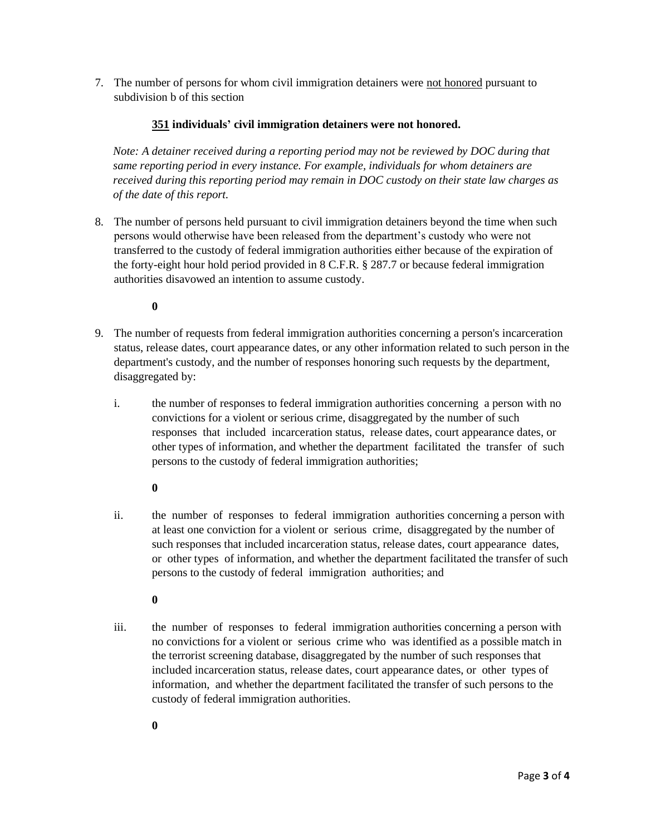7. The number of persons for whom civil immigration detainers were not honored pursuant to subdivision b of this section

## **351 individuals' civil immigration detainers were not honored.**

*Note: A detainer received during a reporting period may not be reviewed by DOC during that same reporting period in every instance. For example, individuals for whom detainers are received during this reporting period may remain in DOC custody on their state law charges as of the date of this report.* 

8. The number of persons held pursuant to civil immigration detainers beyond the time when such persons would otherwise have been released from the department's custody who were not transferred to the custody of federal immigration authorities either because of the expiration of the forty-eight hour hold period provided in 8 C.F.R. § 287.7 or because federal immigration authorities disavowed an intention to assume custody.

### **0**

- 9. The number of requests from federal immigration authorities concerning a person's incarceration status, release dates, court appearance dates, or any other information related to such person in the department's custody, and the number of responses honoring such requests by the department, disaggregated by:
	- i. the number of responses to federal immigration authorities concerning a person with no convictions for a violent or serious crime, disaggregated by the number of such responses that included incarceration status, release dates, court appearance dates, or other types of information, and whether the department facilitated the transfer of such persons to the custody of federal immigration authorities;

### **0**

ii. the number of responses to federal immigration authorities concerning a person with at least one conviction for a violent or serious crime, disaggregated by the number of such responses that included incarceration status, release dates, court appearance dates, or other types of information, and whether the department facilitated the transfer of such persons to the custody of federal immigration authorities; and

### **0**

iii. the number of responses to federal immigration authorities concerning a person with no convictions for a violent or serious crime who was identified as a possible match in the terrorist screening database, disaggregated by the number of such responses that included incarceration status, release dates, court appearance dates, or other types of information, and whether the department facilitated the transfer of such persons to the custody of federal immigration authorities.